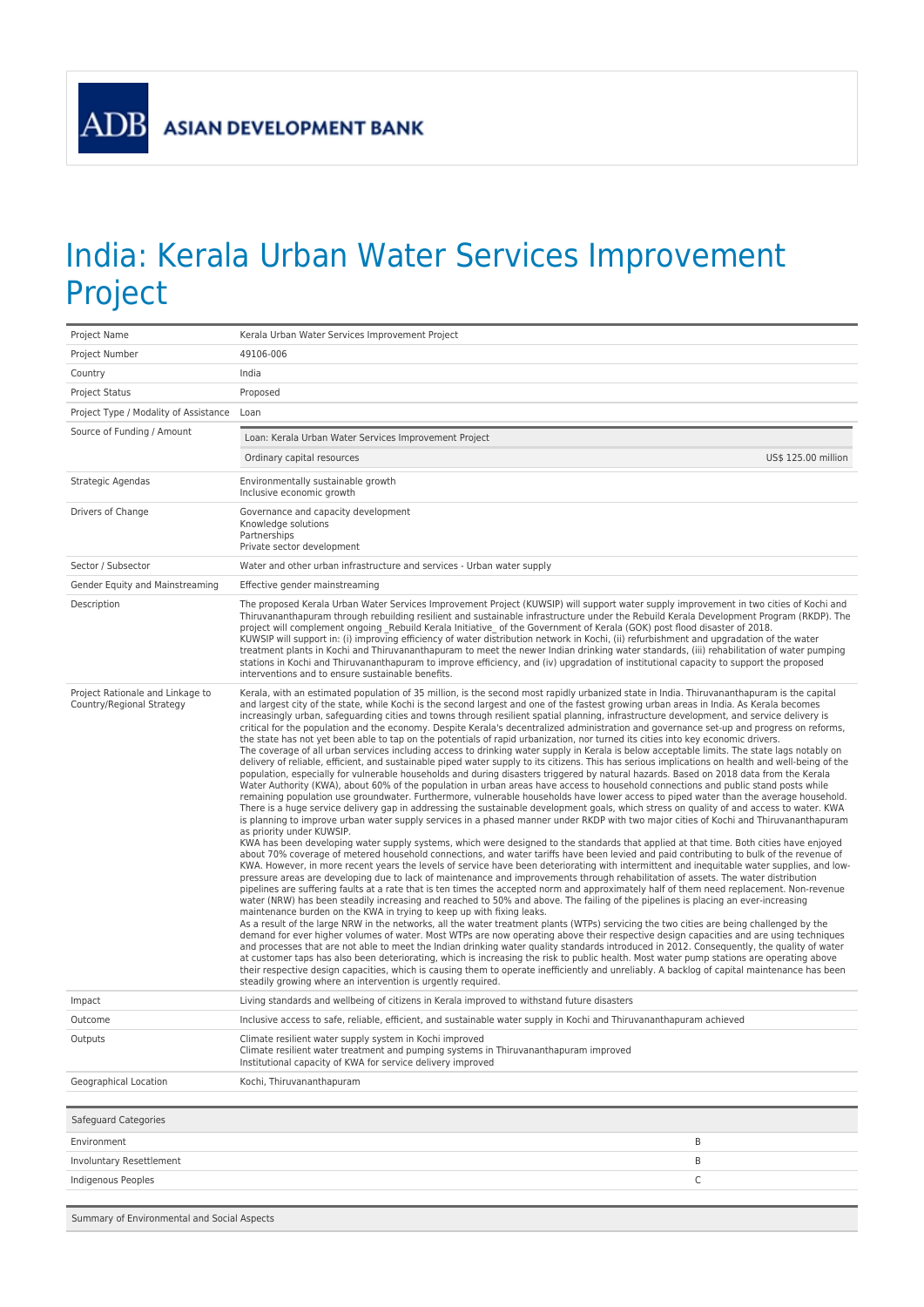**ADB** 

## India: Kerala Urban Water Services Improvement Project

| Project Name                                                  | Kerala Urban Water Services Improvement Project                                                                                                                                                                                                                                                                                                                                                                                                                                                                                                                                                                                                                                                                                                                                                                                                                                                                                                                                                                                                                                                                                                                                                                                                                                                                                                                                                                                                                                                                                                                                                                                                                                                                                                                                                                                                                                                                                                                                                                                                                                                                                                                                                                                                                                                                                                                                                                                                                                                                                                                                                                                                                                                                                                                                                                                                                                                                                                                                                                                                                                                                                                                                                                                                                                                                                                                                                                                                                                                               |  |  |
|---------------------------------------------------------------|---------------------------------------------------------------------------------------------------------------------------------------------------------------------------------------------------------------------------------------------------------------------------------------------------------------------------------------------------------------------------------------------------------------------------------------------------------------------------------------------------------------------------------------------------------------------------------------------------------------------------------------------------------------------------------------------------------------------------------------------------------------------------------------------------------------------------------------------------------------------------------------------------------------------------------------------------------------------------------------------------------------------------------------------------------------------------------------------------------------------------------------------------------------------------------------------------------------------------------------------------------------------------------------------------------------------------------------------------------------------------------------------------------------------------------------------------------------------------------------------------------------------------------------------------------------------------------------------------------------------------------------------------------------------------------------------------------------------------------------------------------------------------------------------------------------------------------------------------------------------------------------------------------------------------------------------------------------------------------------------------------------------------------------------------------------------------------------------------------------------------------------------------------------------------------------------------------------------------------------------------------------------------------------------------------------------------------------------------------------------------------------------------------------------------------------------------------------------------------------------------------------------------------------------------------------------------------------------------------------------------------------------------------------------------------------------------------------------------------------------------------------------------------------------------------------------------------------------------------------------------------------------------------------------------------------------------------------------------------------------------------------------------------------------------------------------------------------------------------------------------------------------------------------------------------------------------------------------------------------------------------------------------------------------------------------------------------------------------------------------------------------------------------------------------------------------------------------------------------------------------------------|--|--|
| Project Number                                                | 49106-006                                                                                                                                                                                                                                                                                                                                                                                                                                                                                                                                                                                                                                                                                                                                                                                                                                                                                                                                                                                                                                                                                                                                                                                                                                                                                                                                                                                                                                                                                                                                                                                                                                                                                                                                                                                                                                                                                                                                                                                                                                                                                                                                                                                                                                                                                                                                                                                                                                                                                                                                                                                                                                                                                                                                                                                                                                                                                                                                                                                                                                                                                                                                                                                                                                                                                                                                                                                                                                                                                                     |  |  |
| Country                                                       | India                                                                                                                                                                                                                                                                                                                                                                                                                                                                                                                                                                                                                                                                                                                                                                                                                                                                                                                                                                                                                                                                                                                                                                                                                                                                                                                                                                                                                                                                                                                                                                                                                                                                                                                                                                                                                                                                                                                                                                                                                                                                                                                                                                                                                                                                                                                                                                                                                                                                                                                                                                                                                                                                                                                                                                                                                                                                                                                                                                                                                                                                                                                                                                                                                                                                                                                                                                                                                                                                                                         |  |  |
| Project Status                                                | Proposed                                                                                                                                                                                                                                                                                                                                                                                                                                                                                                                                                                                                                                                                                                                                                                                                                                                                                                                                                                                                                                                                                                                                                                                                                                                                                                                                                                                                                                                                                                                                                                                                                                                                                                                                                                                                                                                                                                                                                                                                                                                                                                                                                                                                                                                                                                                                                                                                                                                                                                                                                                                                                                                                                                                                                                                                                                                                                                                                                                                                                                                                                                                                                                                                                                                                                                                                                                                                                                                                                                      |  |  |
| Project Type / Modality of Assistance                         | Loan                                                                                                                                                                                                                                                                                                                                                                                                                                                                                                                                                                                                                                                                                                                                                                                                                                                                                                                                                                                                                                                                                                                                                                                                                                                                                                                                                                                                                                                                                                                                                                                                                                                                                                                                                                                                                                                                                                                                                                                                                                                                                                                                                                                                                                                                                                                                                                                                                                                                                                                                                                                                                                                                                                                                                                                                                                                                                                                                                                                                                                                                                                                                                                                                                                                                                                                                                                                                                                                                                                          |  |  |
| Source of Funding / Amount                                    | Loan: Kerala Urban Water Services Improvement Project                                                                                                                                                                                                                                                                                                                                                                                                                                                                                                                                                                                                                                                                                                                                                                                                                                                                                                                                                                                                                                                                                                                                                                                                                                                                                                                                                                                                                                                                                                                                                                                                                                                                                                                                                                                                                                                                                                                                                                                                                                                                                                                                                                                                                                                                                                                                                                                                                                                                                                                                                                                                                                                                                                                                                                                                                                                                                                                                                                                                                                                                                                                                                                                                                                                                                                                                                                                                                                                         |  |  |
|                                                               | Ordinary capital resources<br>US\$ 125.00 million                                                                                                                                                                                                                                                                                                                                                                                                                                                                                                                                                                                                                                                                                                                                                                                                                                                                                                                                                                                                                                                                                                                                                                                                                                                                                                                                                                                                                                                                                                                                                                                                                                                                                                                                                                                                                                                                                                                                                                                                                                                                                                                                                                                                                                                                                                                                                                                                                                                                                                                                                                                                                                                                                                                                                                                                                                                                                                                                                                                                                                                                                                                                                                                                                                                                                                                                                                                                                                                             |  |  |
| Strategic Agendas                                             | Environmentally sustainable growth<br>Inclusive economic growth                                                                                                                                                                                                                                                                                                                                                                                                                                                                                                                                                                                                                                                                                                                                                                                                                                                                                                                                                                                                                                                                                                                                                                                                                                                                                                                                                                                                                                                                                                                                                                                                                                                                                                                                                                                                                                                                                                                                                                                                                                                                                                                                                                                                                                                                                                                                                                                                                                                                                                                                                                                                                                                                                                                                                                                                                                                                                                                                                                                                                                                                                                                                                                                                                                                                                                                                                                                                                                               |  |  |
| Drivers of Change                                             | Governance and capacity development<br>Knowledge solutions<br>Partnerships<br>Private sector development                                                                                                                                                                                                                                                                                                                                                                                                                                                                                                                                                                                                                                                                                                                                                                                                                                                                                                                                                                                                                                                                                                                                                                                                                                                                                                                                                                                                                                                                                                                                                                                                                                                                                                                                                                                                                                                                                                                                                                                                                                                                                                                                                                                                                                                                                                                                                                                                                                                                                                                                                                                                                                                                                                                                                                                                                                                                                                                                                                                                                                                                                                                                                                                                                                                                                                                                                                                                      |  |  |
| Sector / Subsector                                            | Water and other urban infrastructure and services - Urban water supply                                                                                                                                                                                                                                                                                                                                                                                                                                                                                                                                                                                                                                                                                                                                                                                                                                                                                                                                                                                                                                                                                                                                                                                                                                                                                                                                                                                                                                                                                                                                                                                                                                                                                                                                                                                                                                                                                                                                                                                                                                                                                                                                                                                                                                                                                                                                                                                                                                                                                                                                                                                                                                                                                                                                                                                                                                                                                                                                                                                                                                                                                                                                                                                                                                                                                                                                                                                                                                        |  |  |
| Gender Equity and Mainstreaming                               | Effective gender mainstreaming                                                                                                                                                                                                                                                                                                                                                                                                                                                                                                                                                                                                                                                                                                                                                                                                                                                                                                                                                                                                                                                                                                                                                                                                                                                                                                                                                                                                                                                                                                                                                                                                                                                                                                                                                                                                                                                                                                                                                                                                                                                                                                                                                                                                                                                                                                                                                                                                                                                                                                                                                                                                                                                                                                                                                                                                                                                                                                                                                                                                                                                                                                                                                                                                                                                                                                                                                                                                                                                                                |  |  |
| Description                                                   | The proposed Kerala Urban Water Services Improvement Project (KUWSIP) will support water supply improvement in two cities of Kochi and<br>Thiruvananthapuram through rebuilding resilient and sustainable infrastructure under the Rebuild Kerala Development Program (RKDP). The<br>project will complement ongoing Rebuild Kerala Initiative of the Government of Kerala (GOK) post flood disaster of 2018.<br>KUWSIP will support in: (i) improving efficiency of water distribution network in Kochi, (ii) refurbishment and upgradation of the water<br>treatment plants in Kochi and Thiruvananthapuram to meet the newer Indian drinking water standards, (iii) rehabilitation of water pumping<br>stations in Kochi and Thiruvananthapuram to improve efficiency, and (iv) upgradation of institutional capacity to support the proposed<br>interventions and to ensure sustainable benefits.                                                                                                                                                                                                                                                                                                                                                                                                                                                                                                                                                                                                                                                                                                                                                                                                                                                                                                                                                                                                                                                                                                                                                                                                                                                                                                                                                                                                                                                                                                                                                                                                                                                                                                                                                                                                                                                                                                                                                                                                                                                                                                                                                                                                                                                                                                                                                                                                                                                                                                                                                                                                         |  |  |
| Project Rationale and Linkage to<br>Country/Regional Strategy | Kerala, with an estimated population of 35 million, is the second most rapidly urbanized state in India. Thiruvananthapuram is the capital<br>and largest city of the state, while Kochi is the second largest and one of the fastest growing urban areas in India. As Kerala becomes<br>increasingly urban, safeguarding cities and towns through resilient spatial planning, infrastructure development, and service delivery is<br>critical for the population and the economy. Despite Kerala's decentralized administration and governance set-up and progress on reforms,<br>the state has not yet been able to tap on the potentials of rapid urbanization, nor turned its cities into key economic drivers.<br>The coverage of all urban services including access to drinking water supply in Kerala is below acceptable limits. The state lags notably on<br>delivery of reliable, efficient, and sustainable piped water supply to its citizens. This has serious implications on health and well-being of the<br>population, especially for vulnerable households and during disasters triggered by natural hazards. Based on 2018 data from the Kerala<br>Water Authority (KWA), about 60% of the population in urban areas have access to household connections and public stand posts while<br>remaining population use groundwater. Furthermore, vulnerable households have lower access to piped water than the average household.<br>There is a huge service delivery gap in addressing the sustainable development goals, which stress on quality of and access to water. KWA<br>is planning to improve urban water supply services in a phased manner under RKDP with two major cities of Kochi and Thiruvananthapuram<br>as priority under KUWSIP.<br>KWA has been developing water supply systems, which were designed to the standards that applied at that time. Both cities have enjoyed<br>about 70% coverage of metered household connections, and water tariffs have been levied and paid contributing to bulk of the revenue of<br>KWA. However, in more recent years the levels of service have been deteriorating with intermittent and inequitable water supplies, and low-<br>pressure areas are developing due to lack of maintenance and improvements through rehabilitation of assets. The water distribution<br>pipelines are suffering faults at a rate that is ten times the accepted norm and approximately half of them need replacement. Non-revenue<br>water (NRW) has been steadily increasing and reached to 50% and above. The failing of the pipelines is placing an ever-increasing<br>maintenance burden on the KWA in trying to keep up with fixing leaks.<br>As a result of the large NRW in the networks, all the water treatment plants (WTPs) servicing the two cities are being challenged by the<br>demand for ever higher volumes of water. Most WTPs are now operating above their respective design capacities and are using techniques<br>and processes that are not able to meet the Indian drinking water quality standards introduced in 2012. Consequently, the quality of water<br>at customer taps has also been deteriorating, which is increasing the risk to public health. Most water pump stations are operating above<br>their respective design capacities, which is causing them to operate inefficiently and unreliably. A backlog of capital maintenance has been<br>steadily growing where an intervention is urgently required. |  |  |
| Impact                                                        | Living standards and wellbeing of citizens in Kerala improved to withstand future disasters                                                                                                                                                                                                                                                                                                                                                                                                                                                                                                                                                                                                                                                                                                                                                                                                                                                                                                                                                                                                                                                                                                                                                                                                                                                                                                                                                                                                                                                                                                                                                                                                                                                                                                                                                                                                                                                                                                                                                                                                                                                                                                                                                                                                                                                                                                                                                                                                                                                                                                                                                                                                                                                                                                                                                                                                                                                                                                                                                                                                                                                                                                                                                                                                                                                                                                                                                                                                                   |  |  |
| Outcome                                                       | Inclusive access to safe, reliable, efficient, and sustainable water supply in Kochi and Thiruvananthapuram achieved                                                                                                                                                                                                                                                                                                                                                                                                                                                                                                                                                                                                                                                                                                                                                                                                                                                                                                                                                                                                                                                                                                                                                                                                                                                                                                                                                                                                                                                                                                                                                                                                                                                                                                                                                                                                                                                                                                                                                                                                                                                                                                                                                                                                                                                                                                                                                                                                                                                                                                                                                                                                                                                                                                                                                                                                                                                                                                                                                                                                                                                                                                                                                                                                                                                                                                                                                                                          |  |  |
| Outputs                                                       | Climate resilient water supply system in Kochi improved<br>Climate resilient water treatment and pumping systems in Thiruvananthapuram improved<br>Institutional capacity of KWA for service delivery improved                                                                                                                                                                                                                                                                                                                                                                                                                                                                                                                                                                                                                                                                                                                                                                                                                                                                                                                                                                                                                                                                                                                                                                                                                                                                                                                                                                                                                                                                                                                                                                                                                                                                                                                                                                                                                                                                                                                                                                                                                                                                                                                                                                                                                                                                                                                                                                                                                                                                                                                                                                                                                                                                                                                                                                                                                                                                                                                                                                                                                                                                                                                                                                                                                                                                                                |  |  |
| Geographical Location                                         | Kochi, Thiruvananthapuram                                                                                                                                                                                                                                                                                                                                                                                                                                                                                                                                                                                                                                                                                                                                                                                                                                                                                                                                                                                                                                                                                                                                                                                                                                                                                                                                                                                                                                                                                                                                                                                                                                                                                                                                                                                                                                                                                                                                                                                                                                                                                                                                                                                                                                                                                                                                                                                                                                                                                                                                                                                                                                                                                                                                                                                                                                                                                                                                                                                                                                                                                                                                                                                                                                                                                                                                                                                                                                                                                     |  |  |
|                                                               |                                                                                                                                                                                                                                                                                                                                                                                                                                                                                                                                                                                                                                                                                                                                                                                                                                                                                                                                                                                                                                                                                                                                                                                                                                                                                                                                                                                                                                                                                                                                                                                                                                                                                                                                                                                                                                                                                                                                                                                                                                                                                                                                                                                                                                                                                                                                                                                                                                                                                                                                                                                                                                                                                                                                                                                                                                                                                                                                                                                                                                                                                                                                                                                                                                                                                                                                                                                                                                                                                                               |  |  |
| Safeguard Categories                                          |                                                                                                                                                                                                                                                                                                                                                                                                                                                                                                                                                                                                                                                                                                                                                                                                                                                                                                                                                                                                                                                                                                                                                                                                                                                                                                                                                                                                                                                                                                                                                                                                                                                                                                                                                                                                                                                                                                                                                                                                                                                                                                                                                                                                                                                                                                                                                                                                                                                                                                                                                                                                                                                                                                                                                                                                                                                                                                                                                                                                                                                                                                                                                                                                                                                                                                                                                                                                                                                                                                               |  |  |
| Environment                                                   | B                                                                                                                                                                                                                                                                                                                                                                                                                                                                                                                                                                                                                                                                                                                                                                                                                                                                                                                                                                                                                                                                                                                                                                                                                                                                                                                                                                                                                                                                                                                                                                                                                                                                                                                                                                                                                                                                                                                                                                                                                                                                                                                                                                                                                                                                                                                                                                                                                                                                                                                                                                                                                                                                                                                                                                                                                                                                                                                                                                                                                                                                                                                                                                                                                                                                                                                                                                                                                                                                                                             |  |  |
| <b>Involuntary Resettlement</b>                               | B                                                                                                                                                                                                                                                                                                                                                                                                                                                                                                                                                                                                                                                                                                                                                                                                                                                                                                                                                                                                                                                                                                                                                                                                                                                                                                                                                                                                                                                                                                                                                                                                                                                                                                                                                                                                                                                                                                                                                                                                                                                                                                                                                                                                                                                                                                                                                                                                                                                                                                                                                                                                                                                                                                                                                                                                                                                                                                                                                                                                                                                                                                                                                                                                                                                                                                                                                                                                                                                                                                             |  |  |
| Indigenous Peoples                                            | C                                                                                                                                                                                                                                                                                                                                                                                                                                                                                                                                                                                                                                                                                                                                                                                                                                                                                                                                                                                                                                                                                                                                                                                                                                                                                                                                                                                                                                                                                                                                                                                                                                                                                                                                                                                                                                                                                                                                                                                                                                                                                                                                                                                                                                                                                                                                                                                                                                                                                                                                                                                                                                                                                                                                                                                                                                                                                                                                                                                                                                                                                                                                                                                                                                                                                                                                                                                                                                                                                                             |  |  |
| Summary of Environmental and Social Aspects                   |                                                                                                                                                                                                                                                                                                                                                                                                                                                                                                                                                                                                                                                                                                                                                                                                                                                                                                                                                                                                                                                                                                                                                                                                                                                                                                                                                                                                                                                                                                                                                                                                                                                                                                                                                                                                                                                                                                                                                                                                                                                                                                                                                                                                                                                                                                                                                                                                                                                                                                                                                                                                                                                                                                                                                                                                                                                                                                                                                                                                                                                                                                                                                                                                                                                                                                                                                                                                                                                                                                               |  |  |